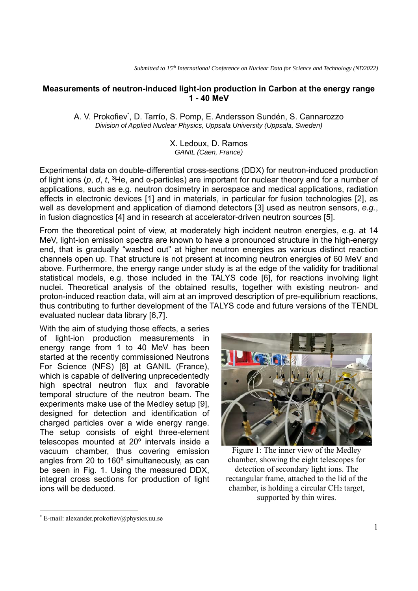## **Measurements of neutron-induced light-ion production in Carbon at the energy range 1 - 40 MeV**

A. V. Prokofiev<sup>\*</sup>, D. Tarrío, S. Pomp, E. Andersson Sundén, S. Cannarozzo *Division of Applied Nuclear Physics, Uppsala University (Uppsala, Sweden)* 

> X. Ledoux, D. Ramos *GANIL (Caen, France)*

Experimental data on double-differential cross-sections (DDX) for neutron-induced production of light ions (*p*, *d*, *t*, 3He, and α-particles) are important for nuclear theory and for a number of applications, such as e.g. neutron dosimetry in aerospace and medical applications, radiation effects in electronic devices [1] and in materials, in particular for fusion technologies [2], as well as development and application of diamond detectors [3] used as neutron sensors, *e.g.*, in fusion diagnostics [4] and in research at accelerator-driven neutron sources [5].

From the theoretical point of view, at moderately high incident neutron energies, e.g. at 14 MeV, light-ion emission spectra are known to have a pronounced structure in the high-energy end, that is gradually "washed out" at higher neutron energies as various distinct reaction channels open up. That structure is not present at incoming neutron energies of 60 MeV and above. Furthermore, the energy range under study is at the edge of the validity for traditional statistical models, e.g. those included in the TALYS code [6], for reactions involving light nuclei. Theoretical analysis of the obtained results, together with existing neutron- and proton-induced reaction data, will aim at an improved description of pre-equilibrium reactions, thus contributing to further development of the TALYS code and future versions of the TENDL evaluated nuclear data library [6,7].

With the aim of studying those effects, a series of light-ion production measurements in energy range from 1 to 40 MeV has been started at the recently commissioned Neutrons For Science (NFS) [8] at GANIL (France), which is capable of delivering unprecedentedly high spectral neutron flux and favorable temporal structure of the neutron beam. The experiments make use of the Medley setup [9], designed for detection and identification of charged particles over a wide energy range. The setup consists of eight three-element telescopes mounted at 20º intervals inside a vacuum chamber, thus covering emission angles from 20 to 160º simultaneously, as can be seen in Fig. 1. Using the measured DDX, integral cross sections for production of light ions will be deduced.



Figure 1: The inner view of the Medley chamber, showing the eight telescopes for detection of secondary light ions. The rectangular frame, attached to the lid of the chamber, is holding a circular CH2 target, supported by thin wires.

<sup>\*</sup> E-mail: alexander.prokofiev@physics.uu.se